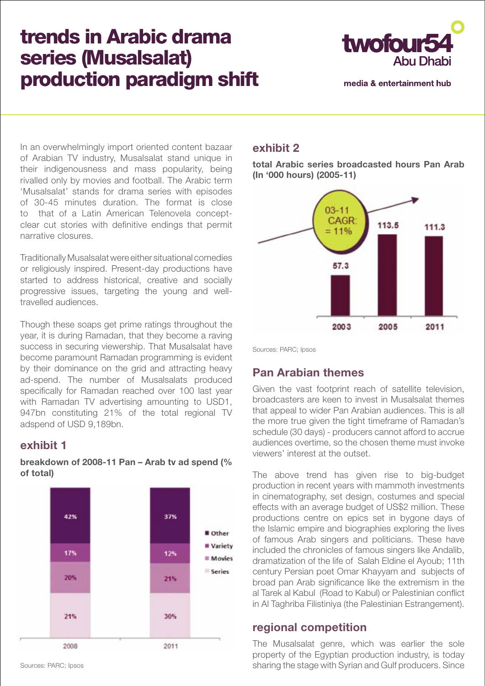# trends in Arabic drama series (Musalsalat) production paradigm shift



media & entertainment hub

In an overwhelmingly import oriented content bazaar of Arabian TV industry, Musalsalat stand unique in their indigenousness and mass popularity, being rivalled only by movies and football. The Arabic term 'Musalsalat' stands for drama series with episodes of 30-45 minutes duration. The format is close to that of a Latin American Telenovela conceptclear cut stories with definitive endings that permit narrative closures.

Traditionally Musalsalat were either situational comedies or religiously inspired. Present-day productions have started to address historical, creative and socially progressive issues, targeting the young and welltravelled audiences.

Though these soaps get prime ratings throughout the year, it is during Ramadan, that they become a raving success in securing viewership. That Musalsalat have become paramount Ramadan programming is evident by their dominance on the grid and attracting heavy ad-spend. The number of Musalsalats produced specifically for Ramadan reached over 100 last year with Ramadan TV advertising amounting to USD1, 947bn constituting 21% of the total regional TV adspend of USD 9,189bn.

#### **exhibit 1**

**breakdown of 2008-11 Pan – Arab tv ad spend (% of total)**



#### **exhibit 2**

**total Arabic series broadcasted hours Pan Arab (In '000 hours) (2005-11)**



Sources: PARC; Ipsos

## **Pan Arabian themes**

Given the vast footprint reach of satellite television, broadcasters are keen to invest in Musalsalat themes that appeal to wider Pan Arabian audiences. This is all the more true given the tight timeframe of Ramadan's schedule (30 days) - producers cannot afford to accrue audiences overtime, so the chosen theme must invoke viewers' interest at the outset.

The above trend has given rise to big-budget production in recent years with mammoth investments in cinematography, set design, costumes and special effects with an average budget of US\$2 million. These productions centre on epics set in bygone days of the Islamic empire and biographies exploring the lives of famous Arab singers and politicians. These have included the chronicles of famous singers like Andalib, dramatization of the life of Salah Eldine el Ayoub; 11th century Persian poet Omar Khayyam and subjects of broad pan Arab significance like the extremism in the al Tarek al Kabul (Road to Kabul) or Palestinian conflict in Al Taghriba Filistiniya (the Palestinian Estrangement).

#### **regional competition**

The Musalsalat genre, which was earlier the sole property of the Egyptian production industry, is today sharing the stage with Syrian and Gulf producers. Since